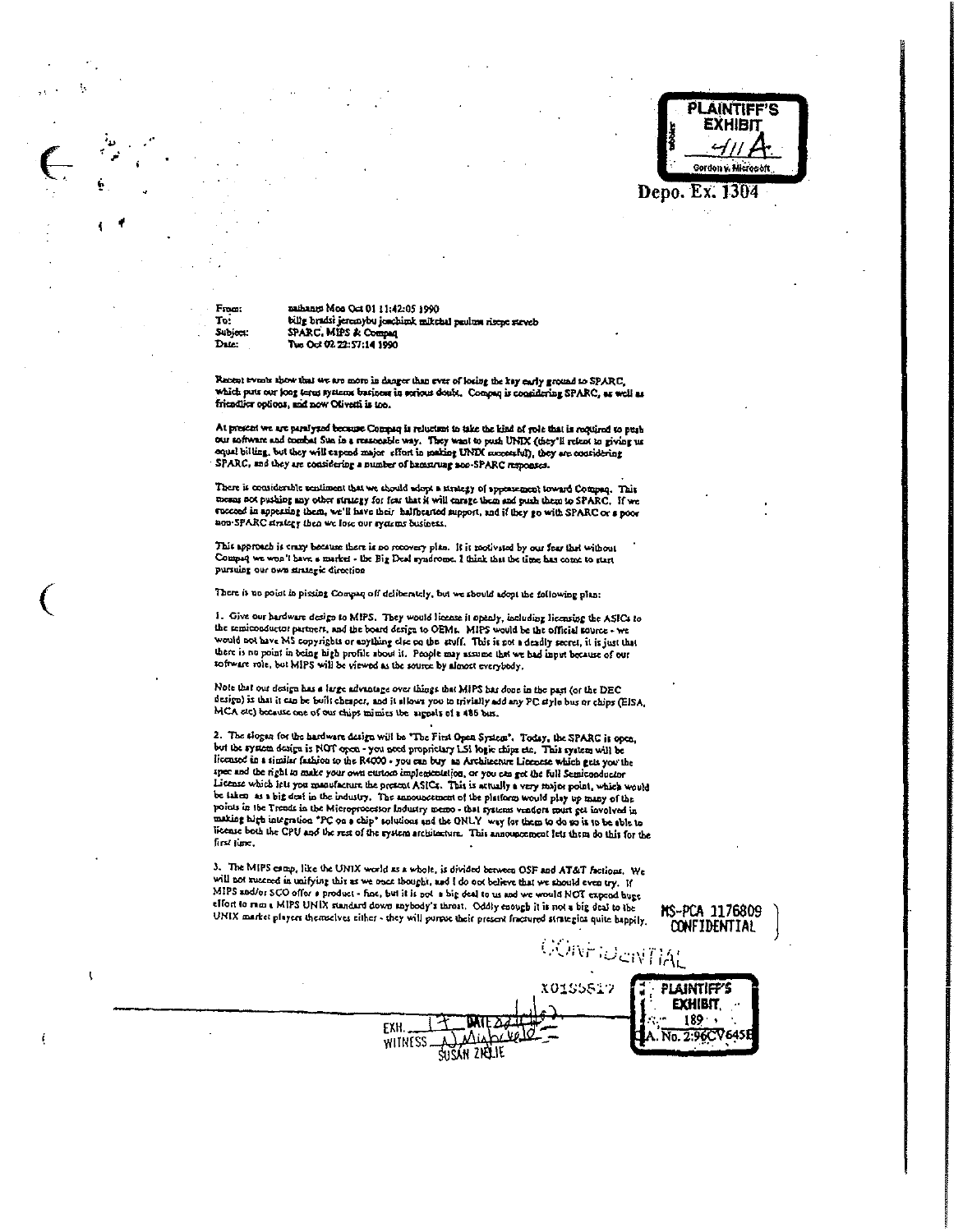

MS-PCA 1176809 **CONFIDENTIAL** 

**PLAINTIFF'S EXHIBIT**  $189.7$ 

From To: Subject: Da.e.

t

i

naihann: Mon Oct 01 11:42:05 1990 billy bradsi jeremybu jesebimk mikehal paulma risepe steveb SPARC, MIPS & Com Tue Oct 02 22:57:14 1990

Recent events show that we are more in danger than ever of locing the key early ground to SPARC, friendlics options, and now Olivetti is too.

At present we are paralyzed because Compaq is reluction to take the kind of role that is required to push our software and combat Sun in a reasonable way. They want to push UNIX (they'll relant to giving us equal billing, but they will capend major effort in making UNDI successful), they are considering SPARC, and they are considering a number of hamazuag son SPARC responses.

There is considerable sentiment that we should adopt a strategy of appearancent toward Compaq. This mesas not pushing any other strategy for fear that it will enrage them and push them to SPARC. If we succeed in appearing them, we'll have their halfhearted support, and if they go with SPARC or a poor non-SPARC strategy then we lose our systems business.

This approach is every because there is no recovery plan. It is motivated by our fear that without Compaq we won't have a market - the Big Deal syndrome. I think that the time has come to start pursuing our own strategic direction

There is no point in pissing Compan off deliberately, but we should adopt the following plan:

1. Give our hardware design to MIPS. They would license it openly, including licensing the ASICs to the remiconductor partners, and the board design to OEMs. MIPS would be the official source - we would not have MS copyrights or anything circ on the stuff. This is not a deadly secret, it is just that there is no point in being high profile about it. People may assume that we had input because of our software role, but MIPS will be viewed as the source by almost everybody,

Note that our design has a large advantage over things that MIPS has done in the past (or the DEC design) is that it can be built cheaper, and it sllows you to trivially add any PC style bus or chips (EISA, MCA etc) because one of our chips mimits the argusts of a 486 bus.

2. The slogen for the hardware design will be "The First Open System". Today, the SPARC is open, but the system design is NOT over - you need proprietary LSI logic chips etc. This system will be<br>licensed in a similar fashion to the R4000 - you can buy an Architecture Licencese which gets you the spec and the right to make your own custom implementation, or you can get the full Semiconductor License which icis you manufacture the present ASICs. This is actually a very major point, which would be taken as a big deal in the industry. The announcement of the platform would play up many of the points in the Trends in the Microprocestor Industry memo - that systems vendors must get involved in making high integration "PC on a chip" solutions and the ONLY way for them to do so it to be able to license both the CPU and the rest of the rystem architecture. This announcement lets them do this for the first time.

3. The MIPS camp, like the UNIX world as a whole, is divided between OSF and AT&T factions. We will not succeed in unifying this as we once thought, and I do not believe that we should even try. If MIPS and/or SCO offer a product - fine, but it is not a big deal to us and we would NOT expend huge effort to run a MIPS UNIX standard down anybody's throat. Oddly enough it is not a big deal to the<br>UNIX market players themselves either - they will purpos their present fractured strategies quite happily.

SUŠÁN ZIELIE

EXH.

CONFIDENTIAL X01S5817 L. No. 2:96CV6451 WITNESS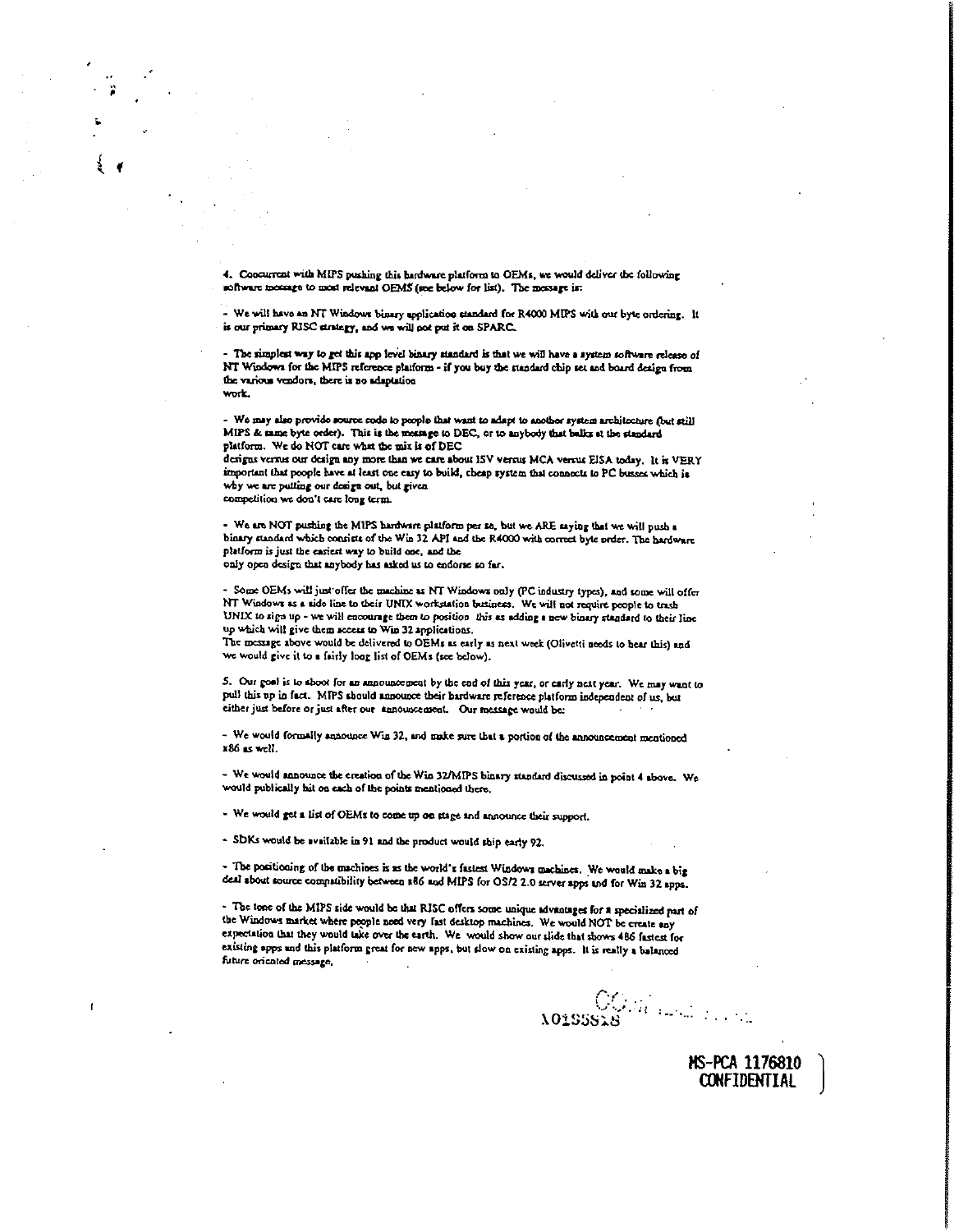4. Concurrent with MIPS pushing this hardware platform to OEMs, we would deliver the following software message to most relevant OEMS (see below for list). The message is:

- We will have an NT Windows binary application standard for R4000 MIPS with our byte ordering. It is our primary RISC strategy, and we will not put it on SPARC.

- The simplest way to get this app level binary standard is that we will have a system software release of NT Windows for the MIPS reference platform - if you buy the standard chip set and board design from the various vendors, there is no adaptation work.

- We may also provide source code to people that want to adapt to another system architecture (but still MIPS & tame byte order). This is the message to DEC, or to anybody that balks at the standard platform. We do NOT care what the mix is of DEC

designs versus our design any more than we care about ISV versus MCA versus EISA today. It is VERY important that poople have at least one easy to build, cheap system that connects to PC busses which is why we are putting our dosign out, but given competition we don't care fong term.

- We are NOT pushing the MIPS hardware platform per se, but we ARE saying that we will push a binary standard which consists of the Win 32 API and the R4000 with correct byte order. The hardware platform is just the easiest way to build one, and the only open design that anybody has asked us to endorse so far.

- Some OEMs will just offer the machine as NT Windows only (PC industry types), and some will offer NT Windows as a side line to their UNIX workstation business. We will not require people to trash UNIX to sign up - we will encourage them to position this as adding a new binary standard to their line up which will give them secess to Win 32 applications.

The message above would be delivered to OEMs as early as next week (Olivetti needs to hear this) and we would give it to a fairly loog list of OEMs (see below).

5. Our goal is to shoot for an announcement by the end of this year, or early nest year. We may want to pull this up in fact. MIPS should announce their bardware reference platform independent of us, but either just before or just after our announcement. Our message would be:

- We would formally announce Win 32, and make sure that a portion of the announcement mentioned x86 as well.

- We would announce the creation of the Win 32/MIPS binary standard discussed in point 4 above. We would publically hit on each of the points mentioned there.

- We would get a list of OEMs to come up on stage and announce their support.

- SDKs would be available in 91 and the product would ship early 92.

- The positioning of the machines is as the world's fastest Windows machines. We would make a big deal about source compatibility between a66 and MIPS for OS/2 2.0 server apps and for Win 32 apps.

- The tone of the MIPS side would be that RISC offers some unique advantages for a specialized part of the Windows market where people need very last desktop machines. We would NOT be create any expectation that they would take over the earth. We would show our slide that shows 486 fastest for existing apps and this platform great for new apps, but slow on existing apps. It is really a balanced future oriented message.

OGRANDER PROTECTION AO1SSSER

HS-PCA 1176810 **CONFIDENTIAL**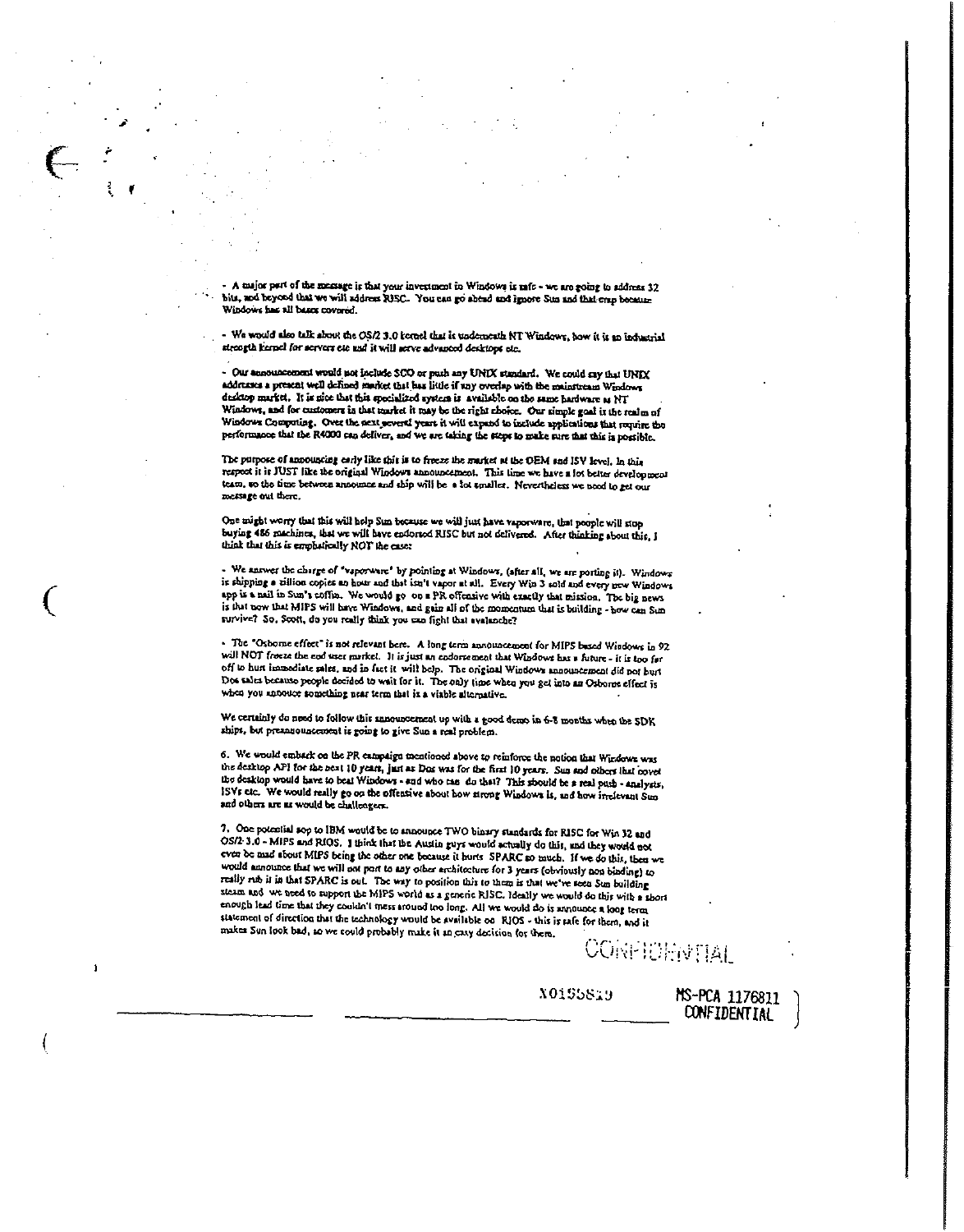- A major part of the mensage is that your inventment in Windows is rafe - we are going to address 32<br>bits, and heyond that we will address RISC. You can go abend and ignore Sun and that ersp because Windows has all bases covered.

- We would also talk show the OS/2 3.0 tornel that is underneath NT Windows, how it is an industrial strongth kernel for servers etc and it will serve advanced desktops etc.

- Our announcoment would not include SCO or push any UNIX standard. We could say that UNIX<br>addresses a present well defined market that has little if any overlap with the mainstream Windows desktop market. It is nice that this specialized system is available on the same hardware as NT Windows, and for customers in that market it may be the right choice. Our simple goal is the realm of Windows Computing. Over the next several years it will expand to include applications that require the performance that the R4000 can deliver, and we are taking the steps to make sure that this is possible.

The purpose of announcing early like this is to freeze the market at the OEM and ISV level, In this respect it is JUST like the original Windows announcement. This time we have a lot better development team, so the time between announce and ship will be a lot smaller. Nevertheless we need to get our message out there.

One might worry that this will help Sun because we will just have vaporware, that people will stop buying 486 machines, that we will have endorsed RISC but not delivered. After thinking about this, I think that this is emphatically NOT the case:

- We snower the charge of "vaporware" by pointing at Windows, (after all, we are porting it). Windows is shipping a zillion copies an hour and that isn't vapor at all. Every Win 3 sold and every new Windows app is a mail in Sun's coffin. We would go on a PR offensive with exactly that mission. The big news is that now that MIPS will have Windows, and gain all of the momentum that is building - how can Sun survive? So, Scott, do you really think you can fight that avalanche?

- The "Oshome effect" is not relevant here. A long term announcement for MIPS based Windows in 92 will NOT frome the end user market. It is just an endorsement that Windows has a future - it is too far off to hust immediate sales, and in fact it will help. The original Windows announcement did not hust Dos sales because people decided to wait for it. The only time when you get into an Osborne effect is when you antoutee something near term that is a viable alternative.

We certainly do need to follow this announcement up with a good demo in 6-8 months when the SDK ships, but presanouncement is going to give Sun a real problem.

6. We would emback on the PR campaign mentioned above to reinforce the notion that Windows was the desktop API for the next 10 years, just as Dos was for the first 10 years. Sun and others that cover the desktop would have to beat Windows - and who can do that? This should be a real push - analyzis, ISVs etc. We would really go on the offentive about how strong Windows is, and how irrelevant Sun and others are as would be challengers.

7. One potential sop to IBM would be to announce TWO binary standards for RISC for Win 32 and OS/2-3.0 - MIPS and RIOS. I think that the Austin guys would actually do this, and they would not even be mad about MIPS being the other one because it hurts SPARC so much. If we do this, then we would announce that we will not port to any other architecture for 3 years (obviously non binding) to really rub it in that SPARC is out. The way to position this to them is that we've seen Sun building steam and we need to support the MIPS world as a generic RISC. Ideally we would do this with a short enough lead time that they couldn't mess around too long. All we would do is announce a long term statement of direction that the technology would be available on RIOS - this is rafe for them, and it makes Sun look bad, so we could probably make it an easy decision for them.

 $\mathbf{1}$ 

**CONFIDENTIAL** 

MS-PCA 1176811 **CONFIDENTIAL** 

X0155S19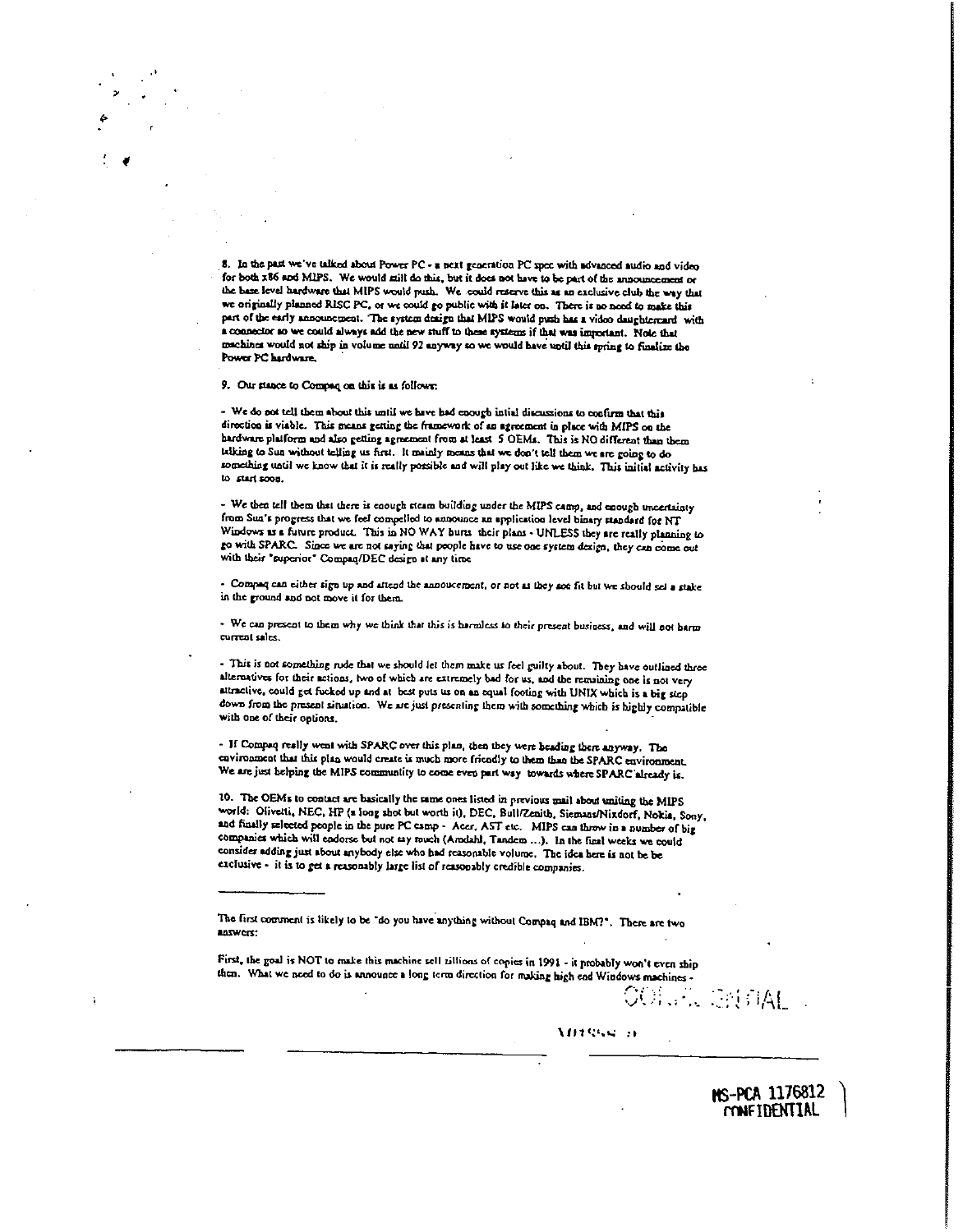**8. in the Past we've talked about Po~**PC-nest generation PC spec with advanced audio and video for both **x86** and MIPS. We would mill do this, but it does not have to be part of the announcement or the hase level hardware that MIPS would push. We could reserve this as an exclusive club the way that **we otiginafly planned RISC PC,or we could go public with it later on. There** i' noraced to make this part **ofthe only announcoatna. 7k system design tlsat MIPS would —** has £ **vdoa daisghtesr.ard with** a connector so we could always add the new stuff to these systems if that was important. Note that machines would not ship in volume until 92 anyway so we would have until this spring to finalize the Power PC hardware.

9. Our stance to Compaq on this is as follows:

- We do not tell them about this until we have had enough intial discussions to confirm that this<br>direction is vishle. This masse netting the formations of an annument is also suid. Little ... of **direction is viable. This** means getting the framework of an sgrtemcet in place **v.4th MIPS** on the hardware plaiforns and also getting .groancnt from at least S OEMs. This **it NO** different than them talking to Sun without telling us first. It mainly means that we don't tell them we are going to do something until wc know that it **it** really ponible and wilt play out like we thick. This initial activity baa to gait soon.

- We then tell them liszt there is enough steam building under the MIPS camp, and **enough** uncertainty from Sun's progress that we feel compelled to announce an application level binary standard for NT Window, as £ future product This in **NO** WAY hurts their puns - **UNLESS** they **arc really** planning to **go wish SPARC Since we sic not saying that people** have to use 0cc system design, they can come out with their 'superior' Compaq/DEC design **at** any tine

- Compaq can either **sign up and attend the annouce,ocnt, or not** as **they** soc **fit hut we should wJ a stake in the pound sod not move it for Ilaetn**

- **We** can **present to them why we think that** this is harmless **to thcir prercot** business. and will **not harm current at.**

- This **is not something rude that** we should let them make us feel guilty **about. They have outlined three** alternatives **for their actions, two of wbicb are extremely bad for us, and the** reo~aioing**one is not** very **attractive, could** gd flicked up arid **at** best **puts us on an equal footing with UNIX which** isa hig seep **down** Iron, the **present sirualion. We arc**just **prescnling them** with **something which** is **highly compatible with** one **of** their options.

- **If** Coop.q **really went** with **SPARC over this plan, then they** were **beading there** anyway. The environment that this **plan would create is much more fricndly** to thea **than the SPARC environment,** We are just helping the MIPS community to come even part way towards where SPARC already is.

**10. The OEM. to contact sit basically the nme ones listed in previous mail about** uniting **the MIPS wortd: Olivorti, NEC,** HP (a **long** shot **but worth ii), DEC Bwlllzenitb Sicmans/Nizdorf, Nokia, Sony.** and **finally aelceted people in the pure PC camp' Acer,** MT **etc. MIPS can threw in <sup>a</sup>** number **ofbig companies** which **will endorse** but not say **much (An.dalsl, Tandem** ...). In **the final weeks we could eonsittes adding just about anybody** else who bad **reasonable volume. The idea here is not be be exclusive** - **it is to** gor a **reasonably large list ofreasonably crediblt companies.**

**list tint** comment **is likely to be 'do you have anything without** Compaq **and IBM?'. There ate two** aoswett:

First, the goal is NOT to make this machine sell nillions of copies in 1991 - it probably won't even ship **risen. What we need to do is announce <sup>a</sup> long scm direction for making high end Windows machints-**

**~ .:HA[**

ns-pca 1176812  $\overline{r}$ **mHIRENTIAL** 

**~IJ1~'.a.~** :1